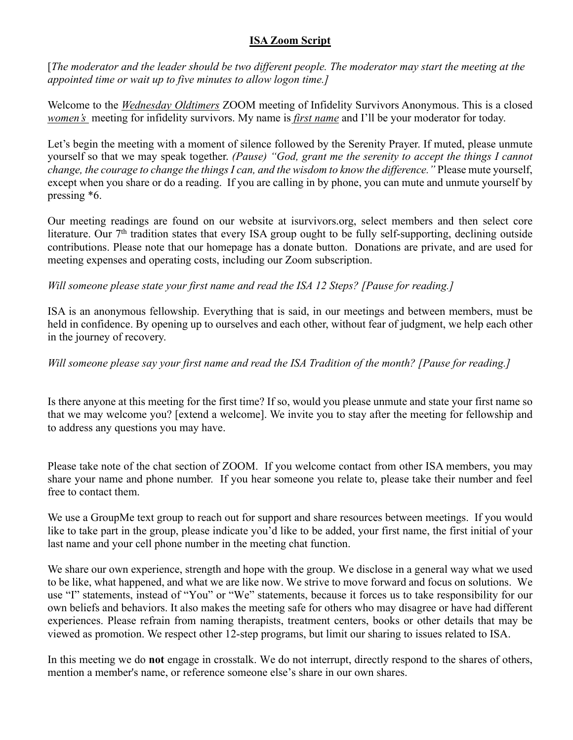## **ISA Zoom Script**

[*The moderator and the leader should be two different people. The moderator may start the meeting at the appointed time or wait up to five minutes to allow logon time.]*

Welcome to the *Wednesday Oldtimers* ZOOM meeting of Infidelity Survivors Anonymous. This is a closed *women's* meeting for infidelity survivors. My name is *first name* and I'll be your moderator for today.

Let's begin the meeting with a moment of silence followed by the Serenity Prayer. If muted, please unmute yourself so that we may speak together. *(Pause) "God, grant me the serenity to accept the things I cannot change, the courage to change the things I can, and the wisdom to know the difference."* Please mute yourself, except when you share or do a reading. If you are calling in by phone, you can mute and unmute yourself by pressing \*6.

Our meeting readings are found on our website at isurvivors.org, select members and then select core literature. Our 7<sup>th</sup> tradition states that every ISA group ought to be fully self-supporting, declining outside contributions. Please note that our homepage has a donate button. Donations are private, and are used for meeting expenses and operating costs, including our Zoom subscription.

*Will someone please state your first name and read the ISA 12 Steps? [Pause for reading.]*

ISA is an anonymous fellowship. Everything that is said, in our meetings and between members, must be held in confidence. By opening up to ourselves and each other, without fear of judgment, we help each other in the journey of recovery.

*Will someone please say your first name and read the ISA Tradition of the month? [Pause for reading.]*

Is there anyone at this meeting for the first time? If so, would you please unmute and state your first name so that we may welcome you? [extend a welcome]. We invite you to stay after the meeting for fellowship and to address any questions you may have.

Please take note of the chat section of ZOOM. If you welcome contact from other ISA members, you may share your name and phone number. If you hear someone you relate to, please take their number and feel free to contact them.

We use a GroupMe text group to reach out for support and share resources between meetings. If you would like to take part in the group, please indicate you'd like to be added, your first name, the first initial of your last name and your cell phone number in the meeting chat function.

We share our own experience, strength and hope with the group. We disclose in a general way what we used to be like, what happened, and what we are like now. We strive to move forward and focus on solutions. We use "I" statements, instead of "You" or "We" statements, because it forces us to take responsibility for our own beliefs and behaviors. It also makes the meeting safe for others who may disagree or have had different experiences. Please refrain from naming therapists, treatment centers, books or other details that may be viewed as promotion. We respect other 12-step programs, but limit our sharing to issues related to ISA.

In this meeting we do **not** engage in crosstalk. We do not interrupt, directly respond to the shares of others, mention a member's name, or reference someone else's share in our own shares.